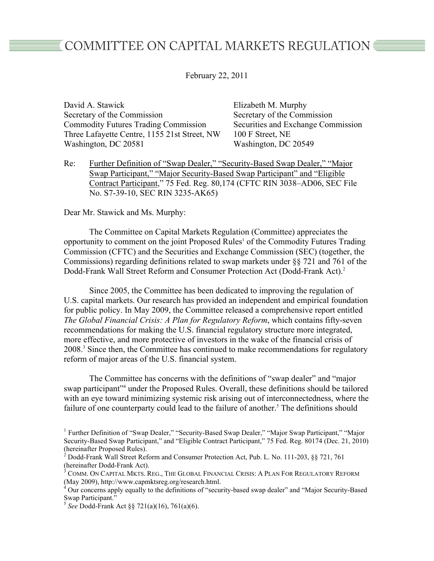## COMMITTEE ON CAPITAL MARKETS REGULATION ■

February 22, 2011

David A. Stawick Elizabeth M. Murphy Secretary of the Commission Secretary of the Commission Commodity Futures Trading Commission Securities and Exchange Commission Three Lafayette Centre, 1155 21st Street, NW 100 F Street, NE Washington, DC 20581 Washington, DC 20549

Re: Further Definition of "Swap Dealer," "Security-Based Swap Dealer," "Major Swap Participant," "Major Security-Based Swap Participant" and "Eligible Contract Participant," 75 Fed. Reg. 80,174 (CFTC RIN 3038–AD06, SEC File No. S7-39-10, SEC RIN 3235-AK65)

## Dear Mr. Stawick and Ms. Murphy:

The Committee on Capital Markets Regulation (Committee) appreciates the opportunity to comment on the joint Proposed Rules<sup>1</sup> of the Commodity Futures Trading Commission (CFTC) and the Securities and Exchange Commission (SEC) (together, the Commissions) regarding definitions related to swap markets under §§ 721 and 761 of the Dodd-Frank Wall Street Reform and Consumer Protection Act (Dodd-Frank Act).<sup>2</sup>

Since 2005, the Committee has been dedicated to improving the regulation of U.S. capital markets. Our research has provided an independent and empirical foundation for public policy. In May 2009, the Committee released a comprehensive report entitled *The Global Financial Crisis: A Plan for Regulatory Reform*, which contains fifty-seven recommendations for making the U.S. financial regulatory structure more integrated, more effective, and more protective of investors in the wake of the financial crisis of 2008.<sup>3</sup> Since then, the Committee has continued to make recommendations for regulatory reform of major areas of the U.S. financial system.

The Committee has concerns with the definitions of "swap dealer" and "major swap participant"<sup>4</sup> under the Proposed Rules. Overall, these definitions should be tailored with an eye toward minimizing systemic risk arising out of interconnectedness, where the failure of one counterparty could lead to the failure of another.<sup>5</sup> The definitions should

<sup>&</sup>lt;sup>1</sup> Further Definition of "Swap Dealer," "Security-Based Swap Dealer," "Major Swap Participant," "Major Security-Based Swap Participant," and "Eligible Contract Participant," 75 Fed. Reg. 80174 (Dec. 21, 2010) (hereinafter Proposed Rules).

<sup>&</sup>lt;sup>2</sup> Dodd-Frank Wall Street Reform and Consumer Protection Act, Pub. L. No. 111-203, §§ 721, 761 (hereinafter Dodd-Frank Act).

 $^3$  Comm. On Capital Mkts. Reg., The Global Financial Crisis: A Plan For Regulatory Reform (May 2009), http://www.capmktsreg.org/research.html.

 $4$  Our concerns apply equally to the definitions of "security-based swap dealer" and "Major Security-Based" Swap Participant."

 <sup>5</sup>*See* Dodd-Frank Act §§ 721(a)(16), 761(a)(6).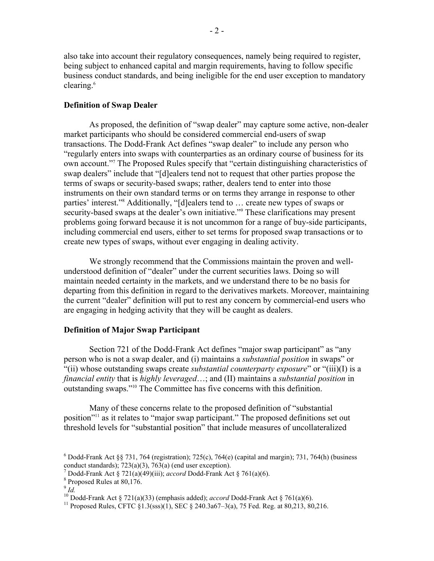also take into account their regulatory consequences, namely being required to register, being subject to enhanced capital and margin requirements, having to follow specific business conduct standards, and being ineligible for the end user exception to mandatory clearing.<sup>6</sup>

## **Definition of Swap Dealer**

create new types of swaps, without ever engaging in dealing activity. As proposed, the definition of "swap dealer" may capture some active, non-dealer market participants who should be considered commercial end-users of swap transactions. The Dodd-Frank Act defines "swap dealer" to include any person who "regularly enters into swaps with counterparties as an ordinary course of business for its own account."7 The Proposed Rules specify that "certain distinguishing characteristics of swap dealers" include that "[d]ealers tend not to request that other parties propose the terms of swaps or security-based swaps; rather, dealers tend to enter into those instruments on their own standard terms or on terms they arrange in response to other parties' interest."8 Additionally, "[d]ealers tend to … create new types of swaps or security-based swaps at the dealer's own initiative."<sup>9</sup> These clarifications may present problems going forward because it is not uncommon for a range of buy-side participants, including commercial end users, either to set terms for proposed swap transactions or to

We strongly recommend that the Commissions maintain the proven and wellunderstood definition of "dealer" under the current securities laws. Doing so will maintain needed certainty in the markets, and we understand there to be no basis for departing from this definition in regard to the derivatives markets. Moreover, maintaining the current "dealer" definition will put to rest any concern by commercial-end users who are engaging in hedging activity that they will be caught as dealers.

## **Definition of Major Swap Participant**

Section 721 of the Dodd-Frank Act defines "major swap participant" as "any person who is not a swap dealer, and (i) maintains a *substantial position* in swaps" or "(ii) whose outstanding swaps create *substantial counterparty exposure*" or "(iii)(I) is a *financial entity* that is *highly leveraged*…; and (II) maintains a *substantial position* in outstanding swaps."10 The Committee has five concerns with this definition.

Many of these concerns relate to the proposed definition of "substantial position"11 as it relates to "major swap participant." The proposed definitions set out threshold levels for "substantial position" that include measures of uncollateralized

 $6$  Dodd-Frank Act §§ 731, 764 (registration); 725(c), 764(e) (capital and margin); 731, 764(h) (business conduct standards);  $723(a)(3)$ ,  $763(a)$  (end user exception).

<sup>&</sup>lt;sup>7</sup> Dodd-Frank Act § 721(a)(49)(iii); *accord* Dodd-Frank Act § 761(a)(6).<br><sup>8</sup> Proposed Rules at 80,176.

 $\frac{8}{9}$  Proposed Rules at 80,176.<br> $\frac{9}{1}$ *Id.* 

 10 Dodd-Frank Act § 721(a)(33) (emphasis added); *accord* Dodd-Frank Act § 761(a)(6).

<sup>&</sup>lt;sup>10</sup> Dodd-Frank Act § 721(a)(33) (emphasis added); *accord* Dodd-Frank Act § 761(a)(6).<br><sup>11</sup> Proposed Rules, CFTC §1.3(sss)(1), SEC § 240.3a67–3(a), 75 Fed. Reg. at 80,213, 80,216.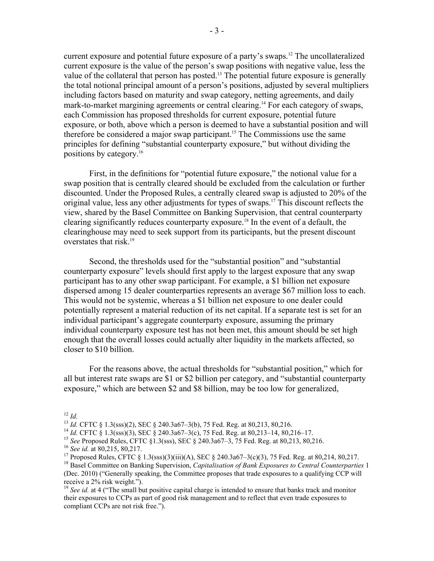current exposure and potential future exposure of a party's swaps.<sup>12</sup> The uncollateralized current exposure is the value of the person's swap positions with negative value, less the value of the collateral that person has posted.<sup>13</sup> The potential future exposure is generally the total notional principal amount of a person's positions, adjusted by several multipliers including factors based on maturity and swap category, netting agreements, and daily mark-to-market margining agreements or central clearing.<sup>14</sup> For each category of swaps, each Commission has proposed thresholds for current exposure, potential future exposure, or both, above which a person is deemed to have a substantial position and will therefore be considered a major swap participant.<sup>15</sup> The Commissions use the same principles for defining "substantial counterparty exposure," but without dividing the positions by category.16

First, in the definitions for "potential future exposure," the notional value for a swap position that is centrally cleared should be excluded from the calculation or further discounted. Under the Proposed Rules, a centrally cleared swap is adjusted to 20% of the original value, less any other adjustments for types of swaps.17 This discount reflects the view, shared by the Basel Committee on Banking Supervision, that central counterparty clearing significantly reduces counterparty exposure.18 In the event of a default, the clearinghouse may need to seek support from its participants, but the present discount overstates that risk.19

Second, the thresholds used for the "substantial position" and "substantial counterparty exposure" levels should first apply to the largest exposure that any swap participant has to any other swap participant. For example, a \$1 billion net exposure dispersed among 15 dealer counterparties represents an average \$67 million loss to each. This would not be systemic, whereas a \$1 billion net exposure to one dealer could potentially represent a material reduction of its net capital. If a separate test is set for an individual participant's aggregate counterparty exposure, assuming the primary individual counterparty exposure test has not been met, this amount should be set high enough that the overall losses could actually alter liquidity in the markets affected, so closer to \$10 billion.

For the reasons above, the actual thresholds for "substantial position," which for all but interest rate swaps are \$1 or \$2 billion per category, and "substantial counterparty exposure," which are between \$2 and \$8 billion, may be too low for generalized,

 $12$  *Id.* 

<sup>&</sup>lt;sup>12</sup> Id.<br><sup>13</sup> Id. CFTC § 1.3(sss)(2), SEC § 240.3a67–3(b), 75 Fed. Reg. at 80,213, 80,216.

<sup>&</sup>lt;sup>13</sup> Id. CFTC § 1.3(sss)(2), SEC § 240.3a67–3(b), 75 Fed. Reg. at 80,213, 80,216.<br><sup>14</sup> Id. CFTC § 1.3(sss)(3), SEC § 240.3a67–3(c), 75 Fed. Reg. at 80,213–14, 80,216–17.

<sup>&</sup>lt;sup>14</sup> *Id.* CFTC § 1.3(sss)(3), SEC § 240.3a67–3(c), 75 Fed. Reg. at 80,213–14, 80,216–17.<br><sup>15</sup> See Proposed Rules, CFTC §1.3(sss), SEC § 240.3a67–3, 75 Fed. Reg. at 80,213, 80,216. <sup>15</sup> See Proposed Rules, CFTC §1.3(sss), SEC § 240.3a67–3, 75 Fed. Reg. at 80,213, 80,216.<br><sup>16</sup> See id. at 80,215, 80,217.

 $16$  See id. at 80,215, 80,217.

<sup>&</sup>lt;sup>16</sup> See id. at 80,215, 80,217.<br><sup>17</sup> Proposed Rules, CFTC § 1.3(sss)(3)(iii)(A), SEC § 240.3a67–3(c)(3), 75 Fed. Reg. at 80,214, 80,217. <sup>1/</sup> Proposed Rules, CFTC § 1.3(sss)(3)(iii)(A), SEC § 240.3a67–3(c)(3), 75 Fed. Reg. at 80,214, 80,217.<br><sup>18</sup> Basel Committee on Banking Supervision, *Capitalisation of Bank Exposures to Central Counterparties* 1

 (Dec. 2010) ("Generally speaking, the Committee proposes that trade exposures to a qualifying CCP will receive a 2% risk weight.").

<sup>&</sup>lt;sup>19</sup> See id. at 4 ("The small but positive capital charge is intended to ensure that banks track and monitor their exposures to CCPs as part of good risk management and to reflect that even trade exposures to compliant CCPs are not risk free.").